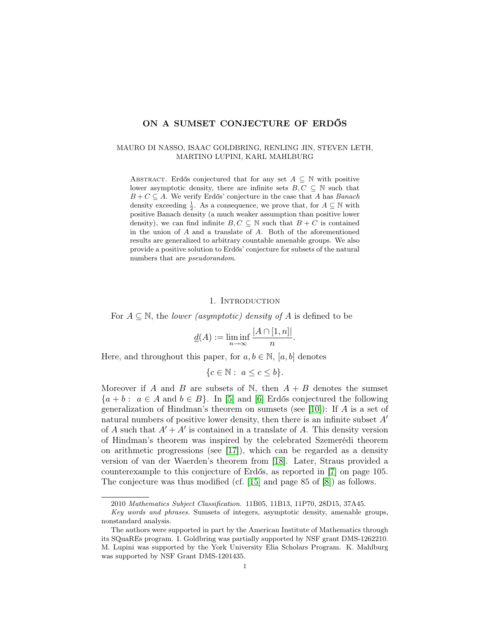# ON A SUMSET CONJECTURE OF ERDŐS

### MAURO DI NASSO, ISAAC GOLDBRING, RENLING JIN, STEVEN LETH, MARTINO LUPINI, KARL MAHLBURG

ABSTRACT. Erdős conjectured that for any set  $A \subseteq \mathbb{N}$  with positive lower asymptotic density, there are infinite sets  $B, C \subseteq \mathbb{N}$  such that  $B + C \subseteq A$ . We verify Erdős' conjecture in the case that A has Banach density exceeding  $\frac{1}{2}$ . As a consequence, we prove that, for  $A \subseteq \mathbb{N}$  with positive Banach density (a much weaker assumption than positive lower density), we can find infinite  $B, C \subseteq \mathbb{N}$  such that  $B + C$  is contained in the union of A and a translate of A. Both of the aforementioned results are generalized to arbitrary countable amenable groups. We also provide a positive solution to Erdős' conjecture for subsets of the natural numbers that are *pseudorandom*.

### 1. INTRODUCTION

For  $A \subseteq \mathbb{N}$ , the *lower (asymptotic) density of* A is defined to be

$$
\underline{d}(A) := \liminf_{n \to \infty} \frac{|A \cap [1, n]|}{n}.
$$

Here, and throughout this paper, for  $a, b \in \mathbb{N}$ ,  $[a, b]$  denotes

$$
\{c \in \mathbb{N} : a \le c \le b\}.
$$

Moreover if A and B are subsets of N, then  $A + B$  denotes the sumset  ${a + b : a \in A \text{ and } b \in B}$ . In [\[5\]](#page-15-0) and [\[6\]](#page-15-1) Erdős conjectured the following generalization of Hindman's theorem on sumsets (see [\[10\]](#page-15-2)): If  $A$  is a set of natural numbers of positive lower density, then there is an infinite subset  $A<sup>'</sup>$ of A such that  $A' + A'$  is contained in a translate of A. This density version of Hindman's theorem was inspired by the celebrated Szemerédi theorem on arithmetic progressions (see [\[17\]](#page-15-3)), which can be regarded as a density version of van der Waerden's theorem from [\[18\]](#page-15-4). Later, Straus provided a counterexample to this conjecture of Erdős, as reported in [\[7\]](#page-15-5) on page 105. The conjecture was thus modified (cf. [\[15\]](#page-15-6) and page 85 of [\[8\]](#page-15-7)) as follows.

<sup>2010</sup> Mathematics Subject Classification. 11B05, 11B13, 11P70, 28D15, 37A45.

Key words and phrases. Sumsets of integers, asymptotic density, amenable groups, nonstandard analysis.

The authors were supported in part by the American Institute of Mathematics through its SQuaREs program. I. Goldbring was partially supported by NSF grant DMS-1262210. M. Lupini was supported by the York University Elia Scholars Program. K. Mahlburg was supported by NSF Grant DMS-1201435.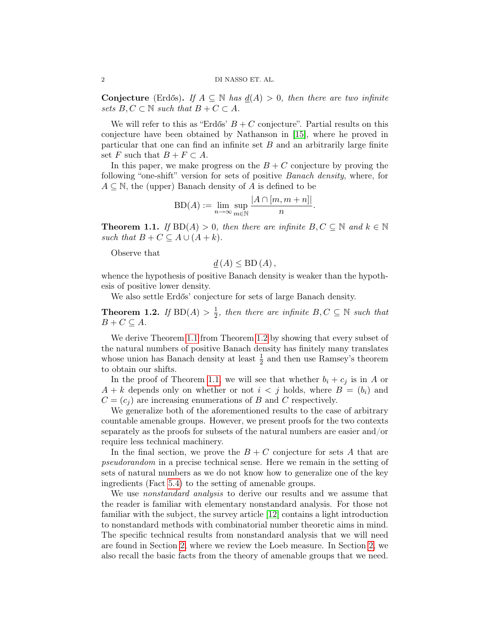Conjecture (Erdős). If  $A \subseteq \mathbb{N}$  has  $\underline{d}(A) > 0$ , then there are two infinite sets  $B, C \subset \mathbb{N}$  such that  $B + C \subset A$ .

We will refer to this as "Erdős'  $B + C$  conjecture". Partial results on this conjecture have been obtained by Nathanson in [\[15\]](#page-15-6), where he proved in particular that one can find an infinite set  $B$  and an arbitrarily large finite set F such that  $B + F \subset A$ .

In this paper, we make progress on the  $B + C$  conjecture by proving the following "one-shift" version for sets of positive Banach density, where, for  $A \subseteq \mathbb{N}$ , the (upper) Banach density of A is defined to be

$$
BD(A) := \lim_{n \to \infty} \sup_{m \in \mathbb{N}} \frac{|A \cap [m, m+n]|}{n}.
$$

<span id="page-1-0"></span>**Theorem 1.1.** If  $BD(A) > 0$ , then there are infinite  $B, C \subseteq \mathbb{N}$  and  $k \in \mathbb{N}$ such that  $B + C \subseteq A \cup (A + k)$ .

Observe that

$$
\underline{d}(A) \leq \mathrm{BD}(A)\,,
$$

whence the hypothesis of positive Banach density is weaker than the hypothesis of positive lower density.

We also settle Erdős' conjecture for sets of large Banach density.

<span id="page-1-1"></span>Theorem 1.2. If  $BD(A) > \frac{1}{2}$  $\frac{1}{2}$ , then there are infinite  $B, C \subseteq \mathbb{N}$  such that  $B+C\subseteq A.$ 

We derive Theorem [1.1](#page-1-0) from Theorem [1.2](#page-1-1) by showing that every subset of the natural numbers of positive Banach density has finitely many translates whose union has Banach density at least  $\frac{1}{2}$  and then use Ramsey's theorem to obtain our shifts.

In the proof of Theorem [1.1,](#page-1-0) we will see that whether  $b_i + c_j$  is in A or  $A + k$  depends only on whether or not  $i < j$  holds, where  $B = (b_i)$  and  $C = (c_i)$  are increasing enumerations of B and C respectively.

We generalize both of the aforementioned results to the case of arbitrary countable amenable groups. However, we present proofs for the two contexts separately as the proofs for subsets of the natural numbers are easier and/or require less technical machinery.

In the final section, we prove the  $B + C$  conjecture for sets A that are pseudorandom in a precise technical sense. Here we remain in the setting of sets of natural numbers as we do not know how to generalize one of the key ingredients (Fact [5.4\)](#page-13-0) to the setting of amenable groups.

We use *nonstandard analysis* to derive our results and we assume that the reader is familiar with elementary nonstandard analysis. For those not familiar with the subject, the survey article [\[12\]](#page-15-8) contains a light introduction to nonstandard methods with combinatorial number theoretic aims in mind. The specific technical results from nonstandard analysis that we will need are found in Section [2,](#page-2-0) where we review the Loeb measure. In Section [2,](#page-2-0) we also recall the basic facts from the theory of amenable groups that we need.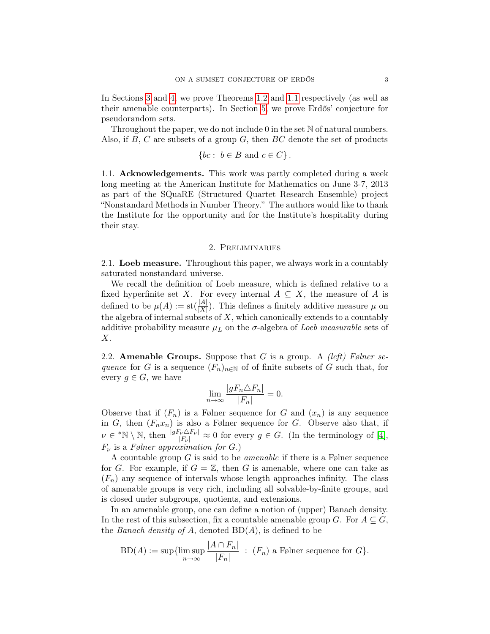In Sections [3](#page-4-0) and [4,](#page-9-0) we prove Theorems [1.2](#page-1-1) and [1.1](#page-1-0) respectively (as well as their amenable counterparts). In Section [5,](#page-12-0) we prove Erdős' conjecture for pseudorandom sets.

Throughout the paper, we do not include 0 in the set  $\mathbb N$  of natural numbers. Also, if  $B$ ,  $C$  are subsets of a group  $G$ , then  $BC$  denote the set of products

$$
\{bc: b \in B \text{ and } c \in C\}.
$$

1.1. Acknowledgements. This work was partly completed during a week long meeting at the American Institute for Mathematics on June 3-7, 2013 as part of the SQuaRE (Structured Quartet Research Ensemble) project "Nonstandard Methods in Number Theory." The authors would like to thank the Institute for the opportunity and for the Institute's hospitality during their stay.

## 2. Preliminaries

<span id="page-2-0"></span>2.1. Loeb measure. Throughout this paper, we always work in a countably saturated nonstandard universe.

We recall the definition of Loeb measure, which is defined relative to a fixed hyperfinite set X. For every internal  $A \subseteq X$ , the measure of A is defined to be  $\mu(A) := \operatorname{st}(\frac{|A|}{|X|})$ . This defines a finitely additive measure  $\mu$  on the algebra of internal subsets of  $X$ , which canonically extends to a countably additive probability measure  $\mu_L$  on the  $\sigma$ -algebra of *Loeb measurable* sets of X.

2.2. **Amenable Groups.** Suppose that G is a group. A *(left) Følner se*quence for G is a sequence  $(F_n)_{n\in\mathbb{N}}$  of of finite subsets of G such that, for every  $q \in G$ , we have

$$
\lim_{n \to \infty} \frac{|gF_n \triangle F_n|}{|F_n|} = 0.
$$

Observe that if  $(F_n)$  is a Følner sequence for G and  $(x_n)$  is any sequence in G, then  $(F_n x_n)$  is also a Følner sequence for G. Observe also that, if  $\nu \in {}^*\mathbb{N} \setminus \mathbb{N}$ , then  $\frac{|gF_\nu \Delta F_\nu|}{|F_\nu|} \approx 0$  for every  $g \in G$ . (In the terminology of [\[4\]](#page-15-9),  $F_{\nu}$  is a Følner approximation for G.)

A countable group G is said to be amenable if there is a Følner sequence for G. For example, if  $G = \mathbb{Z}$ , then G is amenable, where one can take as  $(F_n)$  any sequence of intervals whose length approaches infinity. The class of amenable groups is very rich, including all solvable-by-finite groups, and is closed under subgroups, quotients, and extensions.

In an amenable group, one can define a notion of (upper) Banach density. In the rest of this subsection, fix a countable amenable group G. For  $A \subseteq G$ , the *Banach density of A*, denoted  $BD(A)$ , is defined to be

$$
BD(A) := \sup \{ \limsup_{n \to \infty} \frac{|A \cap F_n|}{|F_n|} : (F_n) \text{ a Følner sequence for } G \}.
$$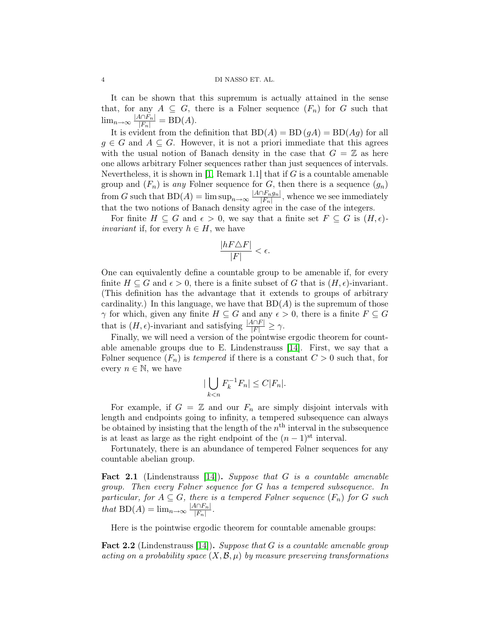It can be shown that this supremum is actually attained in the sense that, for any  $A \subseteq G$ , there is a Følner sequence  $(F_n)$  for G such that  $\lim_{n\to\infty} \frac{|A\cap F_n|}{|F_n|} = BD(A).$ 

It is evident from the definition that  $BD(A) = BD(gA) = BD(Ag)$  for all  $q \in G$  and  $A \subseteq G$ . However, it is not a priori immediate that this agrees with the usual notion of Banach density in the case that  $G = \mathbb{Z}$  as here one allows arbitrary Følner sequences rather than just sequences of intervals. Nevertheless, it is shown in  $\vert 1$ , Remark 1.1 that if G is a countable amenable group and  $(F_n)$  is any Følner sequence for G, then there is a sequence  $(g_n)$ from G such that  $BD(A) = \limsup_{n \to \infty} \frac{|A \cap F_n g_n|}{|F_n|}$  $\frac{|F_n g_n|}{|F_n|}$ , whence we see immediately that the two notions of Banach density agree in the case of the integers.

For finite  $H \subseteq G$  and  $\epsilon > 0$ , we say that a finite set  $F \subseteq G$  is  $(H, \epsilon)$ *invariant* if, for every  $h \in H$ , we have

$$
\frac{|hF\triangle F|}{|F|} < \epsilon.
$$

One can equivalently define a countable group to be amenable if, for every finite  $H \subseteq G$  and  $\epsilon > 0$ , there is a finite subset of G that is  $(H, \epsilon)$ -invariant. (This definition has the advantage that it extends to groups of arbitrary cardinality.) In this language, we have that  $BD(A)$  is the supremum of those  $\gamma$  for which, given any finite  $H \subseteq G$  and any  $\epsilon > 0$ , there is a finite  $F \subseteq G$ that is  $(H, \epsilon)$ -invariant and satisfying  $\frac{|A \cap F|}{|F|} \ge \gamma$ .

Finally, we will need a version of the pointwise ergodic theorem for countable amenable groups due to E. Lindenstrauss [\[14\]](#page-15-10). First, we say that a Følner sequence  $(F_n)$  is tempered if there is a constant  $C > 0$  such that, for every  $n \in \mathbb{N}$ , we have

$$
|\bigcup_{k < n} F_k^{-1} F_n| \le C |F_n|.
$$

For example, if  $G = \mathbb{Z}$  and our  $F_n$  are simply disjoint intervals with length and endpoints going to infinity, a tempered subsequence can always be obtained by insisting that the length of the  $n<sup>th</sup>$  interval in the subsequence is at least as large as the right endpoint of the  $(n-1)$ <sup>st</sup> interval.

Fortunately, there is an abundance of tempered Følner sequences for any countable abelian group.

**Fact 2.1** (Lindenstrauss [\[14\]](#page-15-10)). Suppose that  $G$  is a countable amenable group. Then every Følner sequence for G has a tempered subsequence. In particular, for  $A \subseteq G$ , there is a tempered Følner sequence  $(F_n)$  for G such that  $BD(A) = \lim_{n \to \infty} \frac{|A \cap F_n|}{|F_n|}$  $|F_n|$ .

Here is the pointwise ergodic theorem for countable amenable groups:

<span id="page-3-0"></span>**Fact 2.2** (Lindenstrauss [\[14\]](#page-15-10)). Suppose that G is a countable amenable group acting on a probability space  $(X, \mathcal{B}, \mu)$  by measure preserving transformations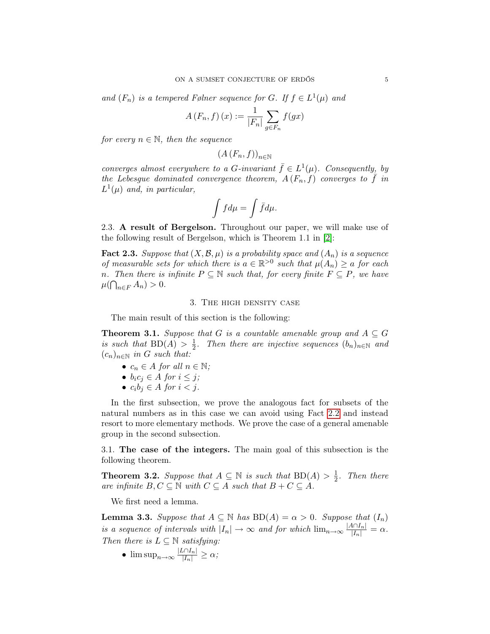and  $(F_n)$  is a tempered Følner sequence for G. If  $f \in L^1(\mu)$  and

$$
A(F_n, f)(x) := \frac{1}{|F_n|} \sum_{g \in F_n} f(gx)
$$

for every  $n \in \mathbb{N}$ , then the sequence

$$
(A(F_n, f))_{n \in \mathbb{N}}
$$

converges almost everywhere to a G-invariant  $\bar{f} \in L^1(\mu)$ . Consequently, by the Lebesgue dominated convergence theorem,  $A(F_n, f)$  converges to f in  $L^1(\mu)$  and, in particular,

$$
\int f d\mu = \int \bar{f} d\mu.
$$

2.3. A result of Bergelson. Throughout our paper, we will make use of the following result of Bergelson, which is Theorem 1.1 in [\[2\]](#page-14-1):

<span id="page-4-3"></span>**Fact 2.3.** Suppose that  $(X, \mathcal{B}, \mu)$  is a probability space and  $(A_n)$  is a sequence of measurable sets for which there is  $a \in \mathbb{R}^{>0}$  such that  $\mu(A_n) \geq a$  for each n. Then there is infinite  $P \subseteq \mathbb{N}$  such that, for every finite  $F \subseteq P$ , we have  $\mu(\bigcap_{n\in F} A_n) > 0.$ 

### 3. The high density case

<span id="page-4-0"></span>The main result of this section is the following:

<span id="page-4-4"></span>**Theorem 3.1.** Suppose that G is a countable amenable group and  $A \subseteq G$ is such that  $BD(A) > \frac{1}{2}$  $\frac{1}{2}$ . Then there are injective sequences  $(b_n)_{n\in\mathbb{N}}$  and  $(c_n)_{n\in\mathbb{N}}$  in G such that:

- $c_n \in A$  for all  $n \in \mathbb{N}$ ;
- $b_i c_j \in A$  for  $i \leq j$ ;
- $c_i b_j \in A$  for  $i < j$ .

In the first subsection, we prove the analogous fact for subsets of the natural numbers as in this case we can avoid using Fact [2.2](#page-3-0) and instead resort to more elementary methods. We prove the case of a general amenable group in the second subsection.

3.1. The case of the integers. The main goal of this subsection is the following theorem.

<span id="page-4-1"></span>**Theorem 3.2.** Suppose that  $A \subseteq \mathbb{N}$  is such that  $BD(A) > \frac{1}{2}$  $rac{1}{2}$ . Then there are infinite  $B, C \subseteq \mathbb{N}$  with  $C \subseteq A$  such that  $B + C \subseteq A$ .

We first need a lemma.

<span id="page-4-2"></span>**Lemma 3.3.** Suppose that  $A \subseteq \mathbb{N}$  has  $BD(A) = \alpha > 0$ . Suppose that  $(I_n)$ is a sequence of intervals with  $|I_n| \to \infty$  and for which  $\lim_{n \to \infty} \frac{|A \cap I_n|}{|I_n|} = \alpha$ . Then there is  $L \subseteq \mathbb{N}$  satisfying:

•  $\limsup_{n\to\infty}\frac{|L\cap I_n|}{|I_n|}\geq \alpha;$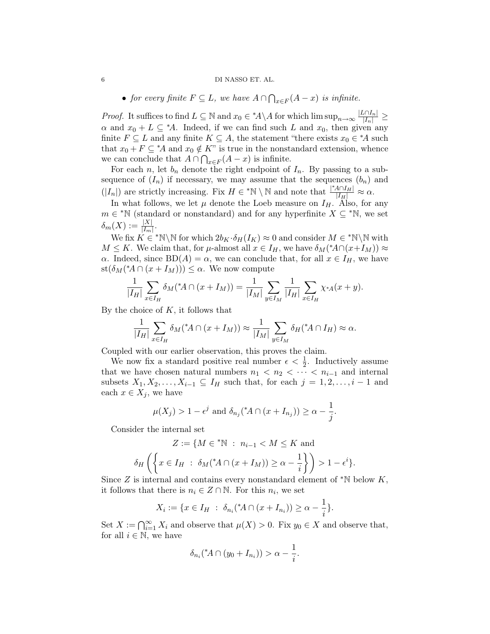### 6 DI NASSO ET. AL.

• for every finite  $F \subseteq L$ , we have  $A \cap \bigcap_{x \in F} (A - x)$  is infinite.

*Proof.* It suffices to find  $L \subseteq \mathbb{N}$  and  $x_0 \in {}^*A \backslash A$  for which  $\limsup_{n \to \infty} \frac{|L \cap I_n|}{|I_n|} \ge$  $\alpha$  and  $x_0 + L \subseteq A$ . Indeed, if we can find such L and  $x_0$ , then given any finite  $F \subseteq L$  and any finite  $K \subseteq A$ , the statement "there exists  $x_0 \in {}^*A$  such that  $x_0 + F \subseteq A$  and  $x_0 \notin K$ " is true in the nonstandard extension, whence we can conclude that  $A \cap \bigcap_{x \in F} (A - x)$  is infinite.

For each n, let  $b_n$  denote the right endpoint of  $I_n$ . By passing to a subsequence of  $(I_n)$  if necessary, we may assume that the sequences  $(b_n)$  and  $(|I_n|)$  are strictly increasing. Fix  $H \in {}^*\mathbb{N} \setminus \mathbb{N}$  and note that  $\frac{|{}^*\!A \cap I_H|}{|I_H|} \approx \alpha$ .

In what follows, we let  $\mu$  denote the Loeb measure on  $I_H$ . Also, for any  $m \in {}^{*}\mathbb{N}$  (standard or nonstandard) and for any hyperfinite  $X \subseteq {}^{*}\mathbb{N}$ , we set  $\delta_m(X) := \frac{|X|}{|I_m|}.$ 

We fix  $K \in \mathbb{N} \setminus \mathbb{N}$  for which  $2b_K \cdot \delta_H(I_K) \approx 0$  and consider  $M \in \mathbb{N} \setminus \mathbb{N}$  with  $M \leq K$ . We claim that, for  $\mu$ -almost all  $x \in I_H$ , we have  $\delta_M({^*A} \cap (x+I_M)) \approx$  $\alpha$ . Indeed, since BD(A) =  $\alpha$ , we can conclude that, for all  $x \in I_H$ , we have  $\operatorname{st}(\delta_M({}^{\ast}\!A\cap(x+I_M)))\leq\alpha.$  We now compute

$$
\frac{1}{|I_H|} \sum_{x \in I_H} \delta_M({}^*A \cap (x + I_M)) = \frac{1}{|I_M|} \sum_{y \in I_M} \frac{1}{|I_H|} \sum_{x \in I_H} \chi_{^*A}(x + y).
$$

By the choice of  $K$ , it follows that

$$
\frac{1}{|I_H|} \sum_{x \in I_H} \delta_M({}^*A \cap (x + I_M)) \approx \frac{1}{|I_M|} \sum_{y \in I_M} \delta_H({}^*A \cap I_H) \approx \alpha.
$$

Coupled with our earlier observation, this proves the claim.

We now fix a standard positive real number  $\epsilon < \frac{1}{2}$ . Inductively assume that we have chosen natural numbers  $n_1 < n_2 < \cdots < n_{i-1}$  and internal subsets  $X_1, X_2, \ldots, X_{i-1} \subseteq I_H$  such that, for each  $j = 1, 2, \ldots, i-1$  and each  $x \in X_j$ , we have

$$
\mu(X_j) > 1 - \epsilon^j \text{ and } \delta_{n_j}({}^{\ast}A \cap (x + I_{n_j})) \ge \alpha - \frac{1}{j}.
$$

Consider the internal set

$$
Z := \{ M \in {}^* \mathbb{N} \; : \; n_{i-1} < M \leq K \text{ and}
$$
\n
$$
\delta_H \left( \left\{ x \in I_H \; : \; \delta_M ({}^* A \cap (x + I_M)) \geq \alpha - \frac{1}{i} \right\} \right) > 1 - \epsilon^i \}.
$$

Since Z is internal and contains every nonstandard element of  $\mathbb{R}$  below K, it follows that there is  $n_i \in Z \cap \mathbb{N}$ . For this  $n_i$ , we set

$$
X_i := \{ x \in I_H : \delta_{n_i}({}^{\ast}A \cap (x + I_{n_i})) \ge \alpha - \frac{1}{i} \}.
$$

Set  $X := \bigcap_{i=1}^{\infty} X_i$  and observe that  $\mu(X) > 0$ . Fix  $y_0 \in X$  and observe that, for all  $i \in \mathbb{N}$ , we have

$$
\delta_{n_i}({}^{\ast}A \cap (y_0 + I_{n_i})) > \alpha - \frac{1}{i}.
$$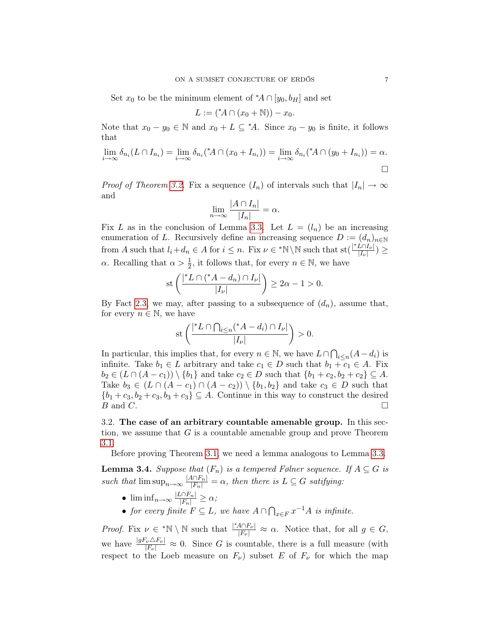Set  $x_0$  to be the minimum element of  $^*A \cap [y_0, b_H]$  and set

$$
L := (*A \cap (x_0 + \mathbb{N})) - x_0.
$$

Note that  $x_0 - y_0 \in \mathbb{N}$  and  $x_0 + L \subseteq {}^{\ast}A$ . Since  $x_0 - y_0$  is finite, it follows that

$$
\lim_{i \to \infty} \delta_{n_i}(L \cap I_{n_i}) = \lim_{i \to \infty} \delta_{n_i}({^*A} \cap (x_0 + I_{n_i})) = \lim_{i \to \infty} \delta_{n_i}({^*A} \cap (y_0 + I_{n_i})) = \alpha.
$$

*Proof of Theorem [3.2.](#page-4-1)* Fix a sequence  $(I_n)$  of intervals such that  $|I_n| \to \infty$ and

$$
\lim_{n \to \infty} \frac{|A \cap I_n|}{|I_n|} = \alpha.
$$

Fix L as in the conclusion of Lemma [3.3.](#page-4-2) Let  $L = (l_n)$  be an increasing enumeration of L. Recursively define an increasing sequence  $D := (d_n)_{n \in \mathbb{N}}$ from A such that  $l_i + d_n \in A$  for  $i \leq n$ . Fix  $\nu \in {^*N \setminus \mathbb{N}}$  such that  $\text{st}(\frac{|^*L \cap I_{\nu}|}{|I_{\nu}|})$  $\frac{L\Box I_{\nu}|}{|I_{\nu}|}$ )  $\geq$  $\alpha$ . Recalling that  $\alpha > \frac{1}{2}$ , it follows that, for every  $n \in \mathbb{N}$ , we have

$$
\operatorname{st}\left(\frac{|{}^*L \cap ({}^*A - d_n) \cap I_\nu|}{|I_\nu|}\right) \ge 2\alpha - 1 > 0.
$$

By Fact [2.3,](#page-4-3) we may, after passing to a subsequence of  $(d_n)$ , assume that, for every  $n \in \mathbb{N}$ , we have

$$
\operatorname{st}\left(\frac{|{}^{\ast}L \cap \bigcap_{i \leq n} ({}^{\ast}A - d_i) \cap I_{\nu}|}{|I_{\nu}|}\right) > 0.
$$

In particular, this implies that, for every  $n \in \mathbb{N}$ , we have  $L \cap \bigcap_{i \leq n} (A - d_i)$  is infinite. Take  $b_1 \in L$  arbitrary and take  $c_1 \in D$  such that  $b_1 + c_1 \in A$ . Fix  $b_2 \in (L \cap (A - c_1)) \setminus \{b_1\}$  and take  $c_2 \in D$  such that  $\{b_1 + c_2, b_2 + c_2\} \subseteq A$ . Take  $b_3 \in (L \cap (A - c_1) \cap (A - c_2)) \setminus \{b_1, b_2\}$  and take  $c_3 \in D$  such that  ${b_1+c_3, b_2+c_3, b_3+c_3} \subseteq A$ . Continue in this way to construct the desired  $B$  and  $C$ .

3.2. The case of an arbitrary countable amenable group. In this section, we assume that  $G$  is a countable amenable group and prove Theorem [3.1.](#page-4-4)

Before proving Theorem [3.1,](#page-4-4) we need a lemma analogous to Lemma [3.3.](#page-4-2)

<span id="page-6-0"></span>**Lemma 3.4.** Suppose that  $(F_n)$  is a tempered Følner sequence. If  $A \subseteq G$  is such that  $\limsup_{n\to\infty} \frac{|A\cap F_n|}{|F_n|} = \alpha$ , then there is  $L \subseteq G$  satifying:

- $\liminf_{n\to\infty}\frac{|L\cap F_n|}{|F_n|}\geq \alpha;$
- for every finite  $F \subseteq L$ , we have  $A \cap \bigcap_{x \in F} x^{-1}A$  is infinite.

*Proof.* Fix  $\nu \in {}^{*}\mathbb{N} \setminus \mathbb{N}$  such that  $\frac{|{}^{*}A \cap F_{\nu}|}{|F_{\nu}|} \approx \alpha$ . Notice that, for all  $g \in G$ , we have  $\frac{|gF_\nu \Delta F_\nu|}{|F_\nu|} \approx 0$ . Since G is countable, there is a full measure (with respect to the Loeb measure on  $F_{\nu}$ ) subset E of  $F_{\nu}$  for which the map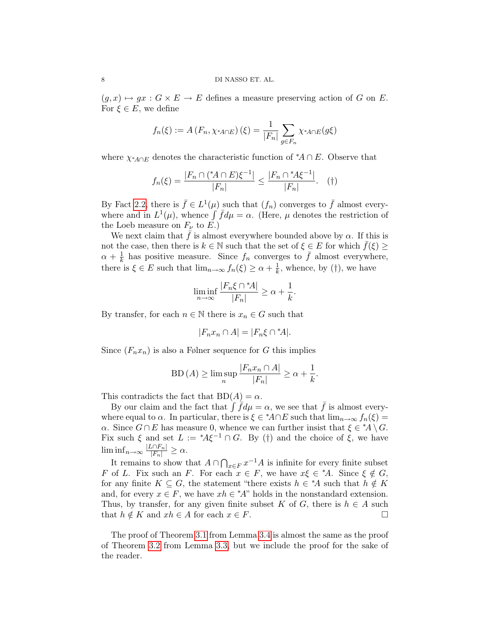$(g, x) \mapsto gx : G \times E \to E$  defines a measure preserving action of G on E. For  $\xi \in E$ , we define

$$
f_n(\xi) := A(F_n, \chi_{A \cap E})(\xi) = \frac{1}{|F_n|} \sum_{g \in F_n} \chi_{A \cap E}(g\xi)
$$

where  $\chi_{^*A \cap E}$  denotes the characteristic function of  $^*A \cap E$ . Observe that

$$
f_n(\xi) = \frac{|F_n \cap ({}^*\!A \cap E)\xi^{-1}|}{|F_n|} \le \frac{|F_n \cap {}^*\!A\xi^{-1}|}{|F_n|}.\quad (†)
$$

By Fact [2.2,](#page-3-0) there is  $\bar{f} \in L^1(\mu)$  such that  $(f_n)$  converges to  $\bar{f}$  almost everywhere and in  $L^1(\mu)$ , whence  $\int \bar{f} d\mu = \alpha$ . (Here,  $\mu$  denotes the restriction of the Loeb measure on  $F_{\nu}$  to E.)

We next claim that  $\bar{f}$  is almost everywhere bounded above by  $\alpha$ . If this is not the case, then there is  $k \in \mathbb{N}$  such that the set of  $\xi \in E$  for which  $\bar{f}(\xi) \geq$  $\alpha + \frac{1}{k}$  $\frac{1}{k}$  has positive measure. Since  $f_n$  converges to  $\overline{f}$  almost everywhere, there is  $\xi \in E$  such that  $\lim_{n\to\infty} f_n(\xi) \geq \alpha + \frac{1}{k}$  $\frac{1}{k}$ , whence, by (†), we have

$$
\liminf_{n \to \infty} \frac{|F_n \xi \cap {}^*A|}{|F_n|} \ge \alpha + \frac{1}{k}.
$$

By transfer, for each  $n \in \mathbb{N}$  there is  $x_n \in G$  such that

$$
|F_n x_n \cap A| = |F_n \xi \cap {}^*A|.
$$

Since  $(F_n x_n)$  is also a Følner sequence for G this implies

$$
BD (A) \ge \limsup_{n} \frac{|F_n x_n \cap A|}{|F_n|} \ge \alpha + \frac{1}{k}.
$$

This contradicts the fact that  $BD(A) = \alpha$ .

By our claim and the fact that  $\int \overline{f} d\mu = \alpha$ , we see that  $\overline{f}$  is almost everywhere equal to  $\alpha$ . In particular, there is  $\xi \in {}^{\ast}A \cap E$  such that  $\lim_{n \to \infty} f_n(\xi) =$  $\alpha$ . Since  $G \cap E$  has measure 0, whence we can further insist that  $\xi \in {}^*A \setminus G$ . Fix such  $\xi$  and set  $L := {}^*A\xi^{-1} \cap G$ . By (†) and the choice of  $\xi$ , we have  $\liminf_{n\to\infty}\frac{|L\cap F_n|}{|F_n|}\geq\alpha.$ 

It remains to show that  $A \cap \bigcap_{x \in F} x^{-1}A$  is infinite for every finite subset F of L. Fix such an F. For each  $x \in F$ , we have  $x \in \mathcal{E}^* A$ . Since  $\xi \notin G$ , for any finite  $K \subseteq G$ , the statement "there exists  $h \in {}^*A$  such that  $h \notin K$ and, for every  $x \in F$ , we have  $xh \in {}^{\ast}A$ " holds in the nonstandard extension. Thus, by transfer, for any given finite subset K of G, there is  $h \in A$  such that  $h \notin K$  and  $xh \in A$  for each  $x \in F$ .

The proof of Theorem [3.1](#page-4-4) from Lemma [3.4](#page-6-0) is almost the same as the proof of Theorem [3.2](#page-4-1) from Lemma [3.3,](#page-4-2) but we include the proof for the sake of the reader.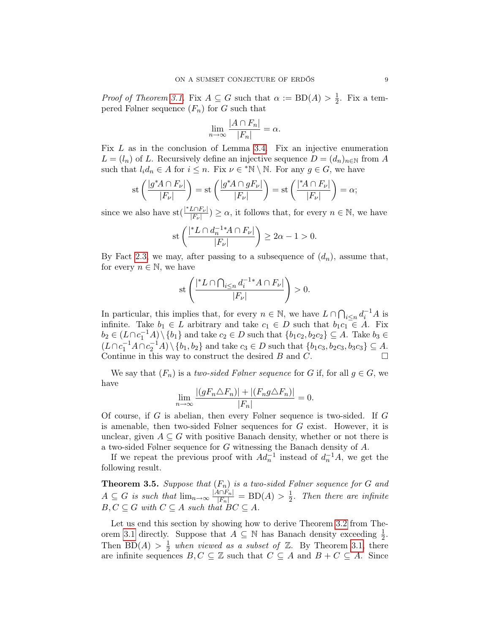*Proof of Theorem [3.1.](#page-4-4)* Fix  $A \subseteq G$  such that  $\alpha := BD(A) > \frac{1}{2}$  $\frac{1}{2}$ . Fix a tempered Følner sequence  $(F_n)$  for G such that

$$
\lim_{n \to \infty} \frac{|A \cap F_n|}{|F_n|} = \alpha.
$$

Fix  $L$  as in the conclusion of Lemma [3.4.](#page-6-0) Fix an injective enumeration  $L = (l_n)$  of L. Recursively define an injective sequence  $D = (d_n)_{n \in \mathbb{N}}$  from A such that  $l_i d_n \in A$  for  $i \leq n$ . Fix  $\nu \in {}^*\mathbb{N} \setminus \mathbb{N}$ . For any  $g \in G$ , we have

$$
\operatorname{st}\left(\frac{|g^*A \cap F_\nu|}{|F_\nu|}\right) = \operatorname{st}\left(\frac{|g^*A \cap gF_\nu|}{|F_\nu|}\right) = \operatorname{st}\left(\frac{|^*A \cap F_\nu|}{|F_\nu|}\right) = \alpha;
$$

since we also have  $\text{st}(\frac{|^*L \cap F_{\nu}|}{|F|})$  $\frac{L\cap F_{\nu}|}{|F_{\nu}|} \geq \alpha$ , it follows that, for every  $n \in \mathbb{N}$ , we have

$$
\operatorname{st}\left(\frac{|{}^{\ast}L \cap d_n^{-1} {}^{\ast}A \cap F_{\nu}|}{|F_{\nu}|}\right) \ge 2\alpha - 1 > 0.
$$

By Fact [2.3,](#page-4-3) we may, after passing to a subsequence of  $(d_n)$ , assume that, for every  $n \in \mathbb{N}$ , we have

$$
\operatorname{st}\left(\frac{|{}^{\ast}L \cap \bigcap_{i \leq n} d_i^{-1} {}^{\ast}A \cap F_{\nu}|}{|F_{\nu}|}\right) > 0.
$$

In particular, this implies that, for every  $n \in \mathbb{N}$ , we have  $L \cap \bigcap_{i \leq n} d_i^{-1}A$  is infinite. Take  $b_1 \in L$  arbitrary and take  $c_1 \in D$  such that  $b_1c_1 \in A$ . Fix  $b_2 \in (L \cap c_1^{-1}A) \setminus \{b_1\}$  and take  $c_2 \in D$  such that  $\{b_1c_2, b_2c_2\} \subseteq A$ . Take  $b_3 \in$  $(L \cap c_1^{-1}A \cap c_2^{-1}A) \setminus \{b_1, b_2\}$  and take  $c_3 \in D$  such that  $\{b_1c_3, b_2c_3, b_3c_3\} \subseteq A$ . Continue in this way to construct the desired  $B$  and  $C$ .

We say that  $(F_n)$  is a two-sided Følner sequence for G if, for all  $g \in G$ , we have

$$
\lim_{n \to \infty} \frac{|(gF_n \triangle F_n)| + |(F_n g \triangle F_n)|}{|F_n|} = 0.
$$

Of course, if G is abelian, then every Følner sequence is two-sided. If G is amenable, then two-sided Følner sequences for G exist. However, it is unclear, given  $A \subseteq G$  with positive Banach density, whether or not there is a two-sided Følner sequence for G witnessing the Banach density of A.

If we repeat the previous proof with  $Ad_n^{-1}$  instead of  $d_n^{-1}A$ , we get the following result.

**Theorem 3.5.** Suppose that  $(F_n)$  is a two-sided Følner sequence for G and  $A \subseteq G$  is such that  $\lim_{n \to \infty} \frac{|A \cap F_n|}{|F_n|} = BD(A) > \frac{1}{2}$  $\frac{1}{2}$ . Then there are infinite  $B, C \subseteq G$  with  $C \subseteq A$  such that  $BC \subseteq A$ .

Let us end this section by showing how to derive Theorem [3.2](#page-4-1) from The-orem [3.1](#page-4-4) directly. Suppose that  $A \subseteq \mathbb{N}$  has Banach density exceeding  $\frac{1}{2}$ . Then BD(A)  $> \frac{1}{2}$  $\frac{1}{2}$  when viewed as a subset of  $\mathbb{Z}$ . By Theorem [3.1,](#page-4-4) there are infinite sequences  $B, C \subseteq \mathbb{Z}$  such that  $C \subseteq A$  and  $B + C \subseteq A$ . Since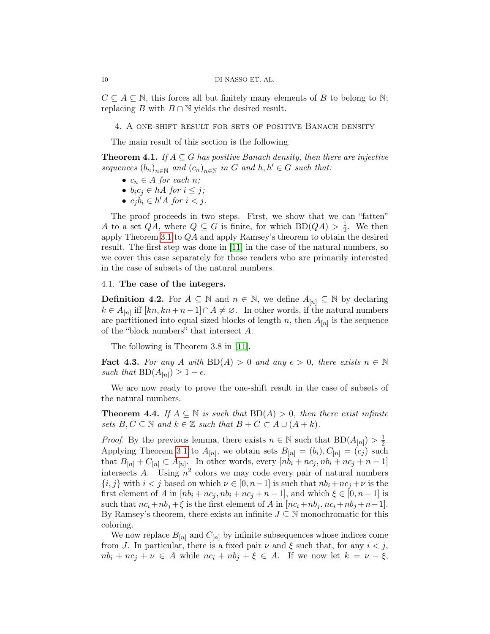$C \subseteq A \subseteq \mathbb{N}$ , this forces all but finitely many elements of B to belong to  $\mathbb{N}$ ; replacing B with  $B \cap \mathbb{N}$  yields the desired result.

<span id="page-9-0"></span>4. A one-shift result for sets of positive Banach density

The main result of this section is the following.

<span id="page-9-2"></span>**Theorem 4.1.** If  $A \subseteq G$  has positive Banach density, then there are injective sequences  $(b_n)_{n \in \mathbb{N}}$  and  $(c_n)_{n \in \mathbb{N}}$  in G and  $h, h' \in G$  such that:

- $c_n \in A$  for each n;
- $b_i c_j \in hA$  for  $i \leq j$ ;
- $c_j b_i \in h'A$  for  $i < j$ .

The proof proceeds in two steps. First, we show that we can "fatten" A to a set  $QA$ , where  $Q \subseteq G$  is finite, for which  $BD(QA) > \frac{1}{2}$  $\frac{1}{2}$ . We then apply Theorem [3.1](#page-4-4) to QA and apply Ramsey's theorem to obtain the desired result. The first step was done in [\[11\]](#page-15-11) in the case of the natural numbers, so we cover this case separately for those readers who are primarily interested in the case of subsets of the natural numbers.

## 4.1. The case of the integers.

**Definition 4.2.** For  $A \subseteq \mathbb{N}$  and  $n \in \mathbb{N}$ , we define  $A_{[n]} \subseteq \mathbb{N}$  by declaring  $k \in A_{[n]}$  iff  $[kn, kn+n-1] \cap A \neq \emptyset$ . In other words, if the natural numbers are partitioned into equal sized blocks of length n, then  $A_{[n]}$  is the sequence of the "block numbers" that intersect A.

The following is Theorem 3.8 in [\[11\]](#page-15-11).

<span id="page-9-1"></span>Fact 4.3. For any A with  $BD(A) > 0$  and any  $\epsilon > 0$ , there exists  $n \in \mathbb{N}$ such that  $BD(A_{[n]}) \geq 1 - \epsilon$ .

We are now ready to prove the one-shift result in the case of subsets of the natural numbers.

<span id="page-9-3"></span>**Theorem 4.4.** If  $A \subseteq \mathbb{N}$  is such that  $BD(A) > 0$ , then there exist infinite sets  $B, C \subseteq \mathbb{N}$  and  $k \in \mathbb{Z}$  such that  $B + C \subseteq A \cup (A + k)$ .

*Proof.* By the previous lemma, there exists  $n \in \mathbb{N}$  such that  $BD(A_{[n]}) > \frac{1}{2}$  $\frac{1}{2}$ . Applying Theorem [3.1](#page-4-4) to  $A_{[n]}$ , we obtain sets  $B_{[n]} = (b_i), C_{[n]} = (c_j)$  such that  $B_{[n]} + C_{[n]} \subset A_{[n]}$ . In other words, every  $[nb_i + nc_j, nb_i + nc_j + n - 1]$ intersects A. Using  $n^2$  colors we may code every pair of natural numbers  ${i, j}$  with  $i < j$  based on which  $\nu \in [0, n-1]$  is such that  $nb_i + nc_j + \nu$  is the first element of A in  $[nb_i + nc_j, nb_i + nc_j + n - 1]$ , and which  $\xi \in [0, n - 1]$  is such that  $nc_i+nb_j+\xi$  is the first element of A in  $[nc_i+nb_j, nc_i+nb_j+n-1]$ . By Ramsey's theorem, there exists an infinite  $J \subseteq \mathbb{N}$  monochromatic for this coloring.

We now replace  $B_{[n]}$  and  $C_{[n]}$  by infinite subsequences whose indices come from J. In particular, there is a fixed pair  $\nu$  and  $\xi$  such that, for any  $i < j$ ,  $nb_i + nc_j + \nu \in A$  while  $nc_i + nb_j + \xi \in A$ . If we now let  $k = \nu - \xi$ ,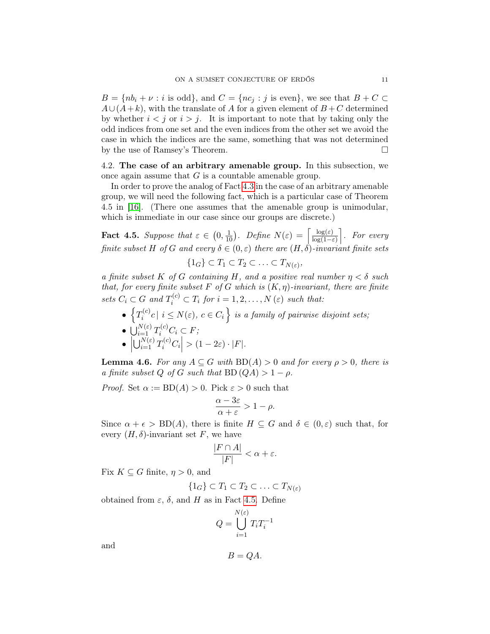$B = \{nb_i + \nu : i \text{ is odd}\},\$  and  $C = \{nc_i : j \text{ is even}\},\$  we see that  $B + C \subset$  $A\cup (A+k)$ , with the translate of A for a given element of  $B+C$  determined by whether  $i < j$  or  $i > j$ . It is important to note that by taking only the odd indices from one set and the even indices from the other set we avoid the case in which the indices are the same, something that was not determined by the use of Ramsey's Theorem.

4.2. The case of an arbitrary amenable group. In this subsection, we once again assume that  $G$  is a countable amenable group.

In order to prove the analog of Fact [4.3](#page-9-1) in the case of an arbitrary amenable group, we will need the following fact, which is a particular case of Theorem 4.5 in [\[16\]](#page-15-12). (There one assumes that the amenable group is unimodular, which is immediate in our case since our groups are discrete.)

<span id="page-10-0"></span>**Fact 4.5.** Suppose that  $\varepsilon \in (0, \frac{1}{10})$ . Define  $N(\varepsilon) = \left[\frac{\log(\varepsilon)}{\log(1-\varepsilon)}\right]$  $\frac{\log(\varepsilon)}{\log(1-\varepsilon)}$ . For every finite subset H of G and every  $\delta \in (0,\varepsilon)$  there are  $(H, \dot{\delta})$ -invariant finite sets  $\{1_G\} \subset T_1 \subset T_2 \subset \ldots \subset T_{N(\varepsilon)},$ 

a finite subset K of G containing H, and a positive real number  $n < \delta$  such that, for every finite subset F of G which is  $(K, \eta)$ -invariant, there are finite sets  $C_i \subset G$  and  $T_i^{(c)} \subset T_i$  for  $i = 1, 2, ..., N(\varepsilon)$  such that:

 $\bullet$   $\left\{T_i^{(c)}\right\}$  $\{c_i^{(c)}c \mid i \leq N(\varepsilon), c \in C_i\}$  is a family of pairwise disjoint sets;  $\bullet\ \bigcup_{i=1}^{N(\varepsilon)} T_i^{(c)}C_i \subset F;$ •     $\left|\bigcup_{i=1}^{N(\varepsilon)} T_i^{(c)} C_i\right| > (1-2\varepsilon) \cdot |F|.$ 

<span id="page-10-1"></span>**Lemma 4.6.** For any  $A \subseteq G$  with  $BD(A) > 0$  and for every  $\rho > 0$ , there is a finite subset Q of G such that  $BD(QA) > 1 - \rho$ .

*Proof.* Set  $\alpha := BD(A) > 0$ . Pick  $\varepsilon > 0$  such that

$$
\frac{\alpha - 3\varepsilon}{\alpha + \varepsilon} > 1 - \rho.
$$

Since  $\alpha + \epsilon > BD(A)$ , there is finite  $H \subseteq G$  and  $\delta \in (0,\epsilon)$  such that, for every  $(H, \delta)$ -invariant set F, we have

$$
\frac{|F \cap A|}{|F|} < \alpha + \varepsilon.
$$

Fix  $K \subseteq G$  finite,  $\eta > 0$ , and

$$
\{1_G\} \subset T_1 \subset T_2 \subset \ldots \subset T_{N(\varepsilon)}
$$

obtained from  $\varepsilon$ ,  $\delta$ , and H as in Fact [4.5.](#page-10-0) Define

$$
Q = \bigcup_{i=1}^{N(\varepsilon)} T_i T_i^{-1}
$$

and

$$
B=QA.
$$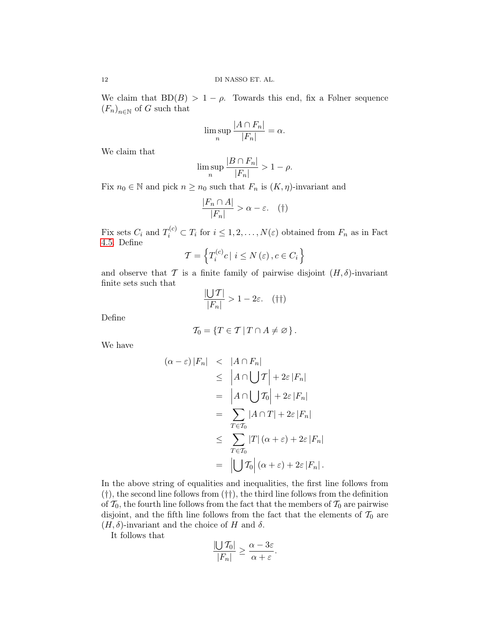We claim that  $BD(B) > 1 - \rho$ . Towards this end, fix a Følner sequence  $(F_n)_{n\in\mathbb{N}}$  of G such that

$$
\limsup_{n} \frac{|A \cap F_n|}{|F_n|} = \alpha.
$$

We claim that

$$
\limsup_n \frac{|B \cap F_n|}{|F_n|} > 1 - \rho.
$$

Fix  $n_0 \in \mathbb{N}$  and pick  $n \geq n_0$  such that  $F_n$  is  $(K, \eta)$ -invariant and

$$
\frac{|F_n \cap A|}{|F_n|} > \alpha - \varepsilon. \quad (\dagger)
$$

Fix sets  $C_i$  and  $T_i^{(c)} \subset T_i$  for  $i \leq 1, 2, ..., N(\varepsilon)$  obtained from  $F_n$  as in Fact [4.5.](#page-10-0) Define

$$
\mathcal{T} = \left\{ T_i^{(c)} c \mid i \le N \left( \varepsilon \right), c \in C_i \right\}
$$

and observe that T is a finite family of pairwise disjoint  $(H, \delta)$ -invariant finite sets such that

$$
\frac{|\bigcup T|}{|F_n|} > 1 - 2\varepsilon. \quad (\dagger \dagger)
$$

Define

$$
\mathcal{T}_0 = \{ T \in \mathcal{T} \mid T \cap A \neq \varnothing \}.
$$

We have

$$
(\alpha - \varepsilon) |F_n| < |A \cap F_n|
$$
  
\n
$$
\leq |A \cap \bigcup \mathcal{T}| + 2\varepsilon |F_n|
$$
  
\n
$$
= |A \cap \bigcup \mathcal{T}_0| + 2\varepsilon |F_n|
$$
  
\n
$$
= \sum_{T \in \mathcal{T}_0} |A \cap T| + 2\varepsilon |F_n|
$$
  
\n
$$
\leq \sum_{T \in \mathcal{T}_0} |T| (\alpha + \varepsilon) + 2\varepsilon |F_n|
$$
  
\n
$$
= |\bigcup \mathcal{T}_0| (\alpha + \varepsilon) + 2\varepsilon |F_n|.
$$

In the above string of equalities and inequalities, the first line follows from (†), the second line follows from (††), the third line follows from the definition of  $\mathcal{T}_0$ , the fourth line follows from the fact that the members of  $\mathcal{T}_0$  are pairwise disjoint, and the fifth line follows from the fact that the elements of  $\mathcal{T}_0$  are  $(H, \delta)$ -invariant and the choice of H and  $\delta$ .

It follows that

$$
\frac{|\bigcup T_0|}{|F_n|} \ge \frac{\alpha - 3\varepsilon}{\alpha + \varepsilon}.
$$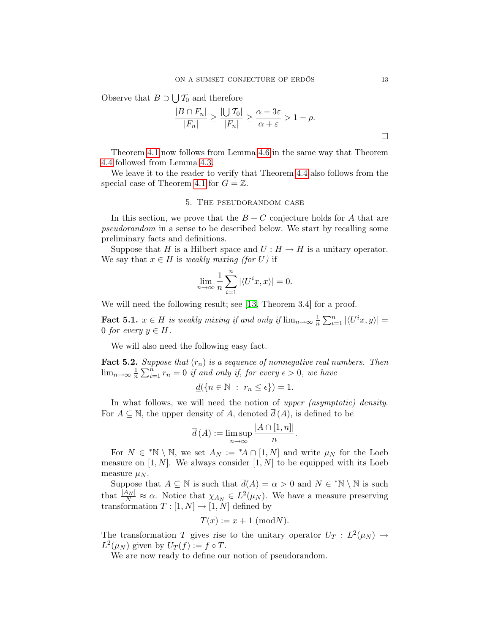Observe that  $B \supset \bigcup T_0$  and therefore

$$
\frac{|B \cap F_n|}{|F_n|} \ge \frac{|U \mathcal{T}_0|}{|F_n|} \ge \frac{\alpha - 3\varepsilon}{\alpha + \varepsilon} > 1 - \rho.
$$

Theorem [4.1](#page-9-2) now follows from Lemma [4.6](#page-10-1) in the same way that Theorem [4.4](#page-9-3) followed from Lemma [4.3.](#page-9-1)

We leave it to the reader to verify that Theorem [4.4](#page-9-3) also follows from the special case of Theorem [4.1](#page-9-2) for  $G = \mathbb{Z}$ .

## 5. The pseudorandom case

<span id="page-12-0"></span>In this section, we prove that the  $B + C$  conjecture holds for A that are pseudorandom in a sense to be described below. We start by recalling some preliminary facts and definitions.

Suppose that H is a Hilbert space and  $U : H \to H$  is a unitary operator. We say that  $x \in H$  is weakly mixing (for U) if

$$
\lim_{n \to \infty} \frac{1}{n} \sum_{i=1}^{n} |\langle U^i x, x \rangle| = 0.
$$

We will need the following result; see [\[13,](#page-15-13) Theorem 3.4] for a proof.

<span id="page-12-1"></span>**Fact 5.1.**  $x \in H$  is weakly mixing if and only if  $\lim_{n\to\infty} \frac{1}{n}$  $\frac{1}{n} \sum_{i=1}^{n} |\langle U^i x, y \rangle| =$ 0 for every  $y \in H$ .

We will also need the following easy fact.

<span id="page-12-2"></span>**Fact 5.2.** Suppose that  $(r_n)$  is a sequence of nonnegative real numbers. Then  $\lim_{n\to\infty}\frac{1}{n}$  $\frac{1}{n}\sum_{i=1}^{n} r_n = 0$  if and only if, for every  $\epsilon > 0$ , we have

$$
\underline{d}(\{n \in \mathbb{N} : r_n \leq \epsilon\}) = 1.
$$

In what follows, we will need the notion of upper *(asymptotic) density*. For  $A \subseteq \mathbb{N}$ , the upper density of A, denoted  $\overline{d}(A)$ , is defined to be

$$
\overline{d}(A) := \limsup_{n \to \infty} \frac{|A \cap [1, n]|}{n}
$$

.

For  $N \in {}^*\mathbb{N} \setminus \mathbb{N}$ , we set  $A_N := {}^*\!A \cap [1,N]$  and write  $\mu_N$  for the Loeb measure on  $[1, N]$ . We always consider  $[1, N]$  to be equipped with its Loeb measure  $\mu_N$ .

Suppose that  $A \subseteq \mathbb{N}$  is such that  $\overline{d}(A) = \alpha > 0$  and  $N \in {}^* \mathbb{N} \setminus \mathbb{N}$  is such that  $\frac{|A_N|}{N} \approx \alpha$ . Notice that  $\chi_{A_N} \in L^2(\mu_N)$ . We have a measure preserving transformation  $T : [1, N] \rightarrow [1, N]$  defined by

$$
T(x) := x + 1 \text{ (mod } N).
$$

The transformation T gives rise to the unitary operator  $U_T : L^2(\mu_N) \to$  $L^2(\mu_N)$  given by  $U_T(f) := f \circ T$ .

We are now ready to define our notion of pseudorandom.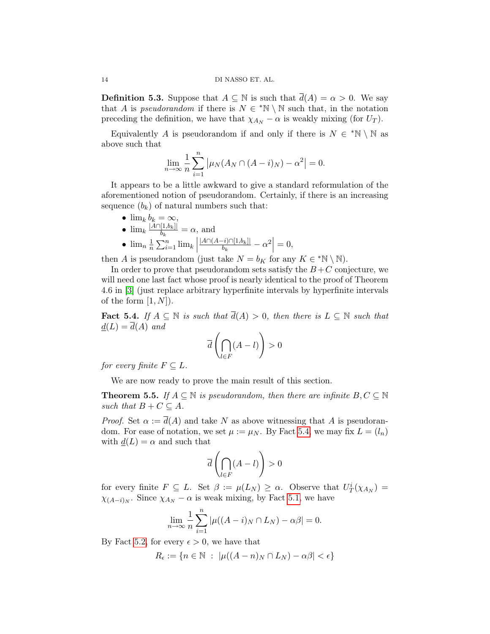**Definition 5.3.** Suppose that  $A \subseteq \mathbb{N}$  is such that  $\overline{d}(A) = \alpha > 0$ . We say that A is pseudorandom if there is  $N \in {}^*\mathbb{N} \setminus \mathbb{N}$  such that, in the notation preceding the definition, we have that  $\chi_{A_N} - \alpha$  is weakly mixing (for  $U_T$ ).

Equivalently A is pseudorandom if and only if there is  $N \in {}^*\mathbb{N} \setminus \mathbb{N}$  as above such that

$$
\lim_{n \to \infty} \frac{1}{n} \sum_{i=1}^{n} |\mu_N(A_N \cap (A - i)_N) - \alpha^2| = 0.
$$

It appears to be a little awkward to give a standard reformulation of the aforementioned notion of pseudorandom. Certainly, if there is an increasing sequence  $(b_k)$  of natural numbers such that:

•  $\lim_k b_k = \infty$ , •  $\lim_{k} \frac{|A \cap [1,b_k]|}{b_k}$  $\frac{b[k]}{b_k} = \alpha$ , and  $\bullet$   $\lim_{n} \frac{1}{n}$  $\frac{1}{n} \sum_{i=1}^{n} \lim_{k} \left| \frac{1}{n} \right|$  $|A \cap (A - i) \cap [1,b_k]|$  $\frac{-i) \cap [1,b_k]|}{b_k} - \alpha^2\Big|$  $= 0,$ 

then A is pseudorandom (just take  $N = b_K$  for any  $K \in {}^*\mathbb{N} \setminus \mathbb{N}$ ).

In order to prove that pseudorandom sets satisfy the  $B+C$  conjecture, we will need one last fact whose proof is nearly identical to the proof of Theorem 4.6 in [\[3\]](#page-15-14) (just replace arbitrary hyperfinite intervals by hyperfinite intervals of the form  $[1, N]$ .

<span id="page-13-0"></span>Fact 5.4. If  $A \subseteq \mathbb{N}$  is such that  $\overline{d}(A) > 0$ , then there is  $L \subseteq \mathbb{N}$  such that  $d(L) = \overline{d}(A)$  and

$$
\overline{d}\left(\bigcap_{l\in F} (A-l)\right) > 0
$$

for every finite  $F \subseteq L$ .

We are now ready to prove the main result of this section.

<span id="page-13-1"></span>**Theorem 5.5.** If  $A \subseteq \mathbb{N}$  is pseudorandom, then there are infinite  $B, C \subseteq \mathbb{N}$ such that  $B + C \subseteq A$ .

*Proof.* Set  $\alpha := d(A)$  and take N as above witnessing that A is pseudorandom. For ease of notation, we set  $\mu := \mu_N$ . By Fact [5.4,](#page-13-0) we may fix  $L = (l_n)$ with  $d(L) = \alpha$  and such that

$$
\overline{d}\left(\bigcap_{l\in F}(A-l)\right)>0
$$

for every finite  $F \subseteq L$ . Set  $\beta := \mu(L_N) \ge \alpha$ . Observe that  $U_T^i(\chi_{A_N}) =$  $\chi_{(A-i)_N}$ . Since  $\chi_{A_N} - \alpha$  is weak mixing, by Fact [5.1,](#page-12-1) we have

$$
\lim_{n \to \infty} \frac{1}{n} \sum_{i=1}^{n} |\mu((A - i)_N \cap L_N) - \alpha \beta| = 0.
$$

By Fact [5.2,](#page-12-2) for every  $\epsilon > 0$ , we have that

$$
R_{\epsilon} := \{ n \in \mathbb{N} \ : \ |\mu((A - n)_N \cap L_N) - \alpha \beta| < \epsilon \}
$$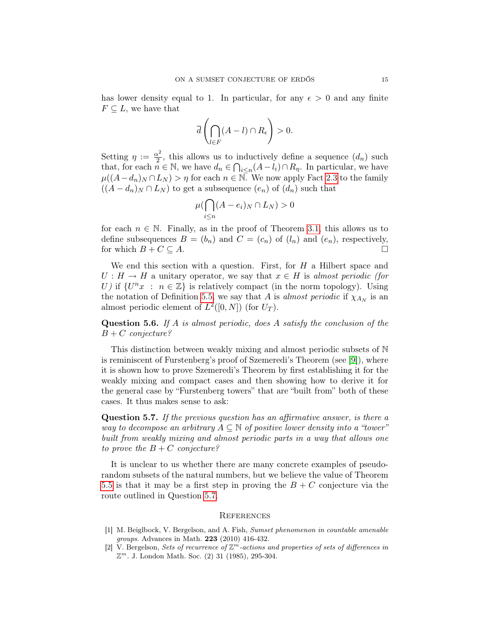has lower density equal to 1. In particular, for any  $\epsilon > 0$  and any finite  $F \subseteq L$ , we have that

$$
\overline{d}\left(\bigcap_{l\in F} (A-l)\cap R_{\epsilon}\right) > 0.
$$

Setting  $\eta := \frac{\alpha^2}{2}$  $\frac{\alpha^2}{2}$ , this allows us to inductively define a sequence  $(d_n)$  such that, for each  $n \in \mathbb{N}$ , we have  $d_n \in \bigcap_{i \leq n} (A - \overline{l}_i) \cap R_{\eta}$ . In particular, we have  $\mu((A-d_n)_N \cap L_N) > \eta$  for each  $n \in \mathbb{N}$ . We now apply Fact [2.3](#page-4-3) to the family  $((A - d_n)_N \cap L_N)$  to get a subsequence  $(e_n)$  of  $(d_n)$  such that

$$
\mu(\bigcap_{i\leq n} (A-e_i)_N \cap L_N) > 0
$$

for each  $n \in \mathbb{N}$ . Finally, as in the proof of Theorem [3.1,](#page-4-4) this allows us to define subsequences  $B = (b_n)$  and  $C = (c_n)$  of  $(l_n)$  and  $(e_n)$ , respectively, for which  $B + C \subseteq A$ .

We end this section with a question. First, for  $H$  a Hilbert space and  $U : H \to H$  a unitary operator, we say that  $x \in H$  is almost periodic (for U) if  $\{U^nx : n \in \mathbb{Z}\}\$ is relatively compact (in the norm topology). Using the notation of Definition [5.5,](#page-13-1) we say that A is almost periodic if  $\chi_{A_N}$  is an almost periodic element of  $L^2([0,N])$  (for  $U_T$ ).

**Question 5.6.** If A is almost periodic, does A satisfy the conclusion of the  $B + C$  conjecture?

This distinction between weakly mixing and almost periodic subsets of N is reminiscent of Furstenberg's proof of Szemeredi's Theorem (see [\[9\]](#page-15-15)), where it is shown how to prove Szemeredi's Theorem by first establishing it for the weakly mixing and compact cases and then showing how to derive it for the general case by "Furstenberg towers" that are "built from" both of these cases. It thus makes sense to ask:

<span id="page-14-2"></span>Question 5.7. If the previous question has an affirmative answer, is there a way to decompose an arbitrary  $A \subseteq \mathbb{N}$  of positive lower density into a "tower" built from weakly mixing and almost periodic parts in a way that allows one to prove the  $B + C$  conjecture?

It is unclear to us whether there are many concrete examples of pseudorandom subsets of the natural numbers, but we believe the value of Theorem [5.5](#page-13-1) is that it may be a first step in proving the  $B + C$  conjecture via the route outlined in Question [5.7.](#page-14-2)

### **REFERENCES**

- <span id="page-14-0"></span>[1] M. Beiglbock, V. Bergelson, and A. Fish, Sumset phenomenon in countable amenable groups. Advances in Math. 223 (2010) 416-432.
- <span id="page-14-1"></span>[2] V. Bergelson, Sets of recurrence of  $\mathbb{Z}^m$ -actions and properties of sets of differences in  $\mathbb{Z}^m$ . J. London Math. Soc. (2) 31 (1985), 295-304.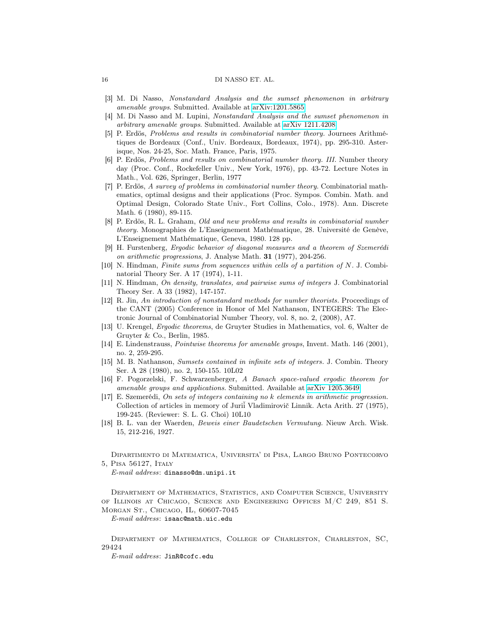### 16 DI NASSO ET. AL.

- <span id="page-15-14"></span>[3] M. Di Nasso, Nonstandard Analysis and the sumset phenomenon in arbitrary amenable groups. Submitted. Available at [arXiv:1201.5865](http://arxiv.org/abs/1201.5865)
- <span id="page-15-9"></span>[4] M. Di Nasso and M. Lupini, Nonstandard Analysis and the sumset phenomenon in arbitrary amenable groups. Submitted. Available at [arXiv 1211.4208](http://arxiv.org/abs/1211.4208)
- <span id="page-15-0"></span>[5] P. Erdös, Problems and results in combinatorial number theory. Journees Arithmétiques de Bordeaux (Conf., Univ. Bordeaux, Bordeaux, 1974), pp. 295-310. Asterisque, Nos. 24-25, Soc. Math. France, Paris, 1975.
- <span id="page-15-1"></span>[6] P. Erdös, Problems and results on combinatorial number theory. III. Number theory day (Proc. Conf., Rockefeller Univ., New York, 1976), pp. 43-72. Lecture Notes in Math., Vol. 626, Springer, Berlin, 1977
- <span id="page-15-5"></span>[7] P. Erdös, A survey of problems in combinatorial number theory. Combinatorial mathematics, optimal designs and their applications (Proc. Sympos. Combin. Math. and Optimal Design, Colorado State Univ., Fort Collins, Colo., 1978). Ann. Discrete Math. 6 (1980), 89-115.
- <span id="page-15-7"></span>[8] P. Erdös, R. L. Graham, Old and new problems and results in combinatorial number theory. Monographies de L'Enseignement Mathématique, 28. Université de Genève, L'Enseignement Mathématique, Geneva, 1980. 128 pp.
- <span id="page-15-15"></span>[9] H. Furstenberg, Ergodic behavior of diagonal measures and a theorem of Szemerédi on arithmetic progressions, J. Analyse Math. 31 (1977), 204-256.
- <span id="page-15-2"></span>[10] N. Hindman, Finite sums from sequences within cells of a partition of N. J. Combinatorial Theory Ser. A 17 (1974), 1-11.
- <span id="page-15-11"></span>[11] N. Hindman, On density, translates, and pairwise sums of integers J. Combinatorial Theory Ser. A 33 (1982), 147-157.
- <span id="page-15-8"></span>[12] R. Jin, An introduction of nonstandard methods for number theorists. Proceedings of the CANT (2005) Conference in Honor of Mel Nathanson, INTEGERS: The Electronic Journal of Combinatorial Number Theory, vol. 8, no. 2, (2008), A7.
- <span id="page-15-13"></span>[13] U. Krengel, Ergodic theorems, de Gruyter Studies in Mathematics, vol. 6, Walter de Gruyter & Co., Berlin, 1985.
- <span id="page-15-10"></span>[14] E. Lindenstrauss, Pointwise theorems for amenable groups, Invent. Math. 146 (2001), no. 2, 259-295.
- <span id="page-15-6"></span>[15] M. B. Nathanson, Sumsets contained in infinite sets of integers. J. Combin. Theory Ser. A 28 (1980), no. 2, 150-155. 10L02
- <span id="page-15-12"></span>[16] F. Pogorzelski, F. Schwarzenberger, A Banach space-valued ergodic theorem for amenable groups and applications. Submitted. Available at [arXiv 1205.3649](http://arxiv.org/abs/1205.3649)
- <span id="page-15-3"></span>[17] E. Szemerédi, On sets of integers containing no k elements in arithmetic progression. Collection of articles in memory of Juriˇi Vladimirovič Linnik. Acta Arith. 27 (1975), 199-245. (Reviewer: S. L. G. Choi) 10L10
- <span id="page-15-4"></span>[18] B. L. van der Waerden, Beweis einer Baudetschen Vermutung. Nieuw Arch. Wisk. 15, 212-216, 1927.

Dipartimento di Matematica, Universita' di Pisa, Largo Bruno Pontecorvo 5, Pisa 56127, Italy

E-mail address: dinasso@dm.unipi.it

Department of Mathematics, Statistics, and Computer Science, University of Illinois at Chicago, Science and Engineering Offices M/C 249, 851 S. Morgan St., Chicago, IL, 60607-7045

E-mail address: isaac@math.uic.edu

Department of Mathematics, College of Charleston, Charleston, SC, 29424

E-mail address: JinR@cofc.edu